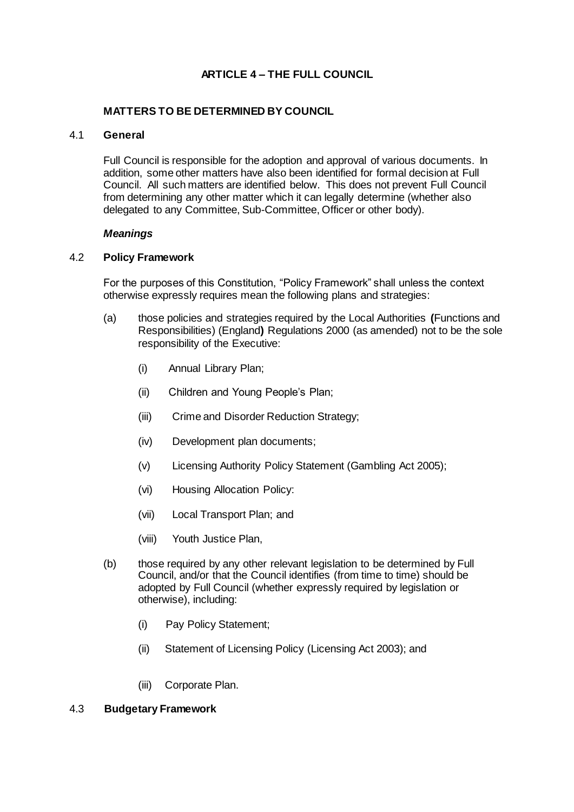# **ARTICLE 4 – THE FULL COUNCIL**

# **MATTERS TO BE DETERMINED BY COUNCIL**

#### 4.1 **General**

Full Council is responsible for the adoption and approval of various documents. In addition, some other matters have also been identified for formal decision at Full Council. All such matters are identified below. This does not prevent Full Council from determining any other matter which it can legally determine (whether also delegated to any Committee, Sub-Committee, Officer or other body).

#### *Meanings*

# 4.2 **Policy Framework**

For the purposes of this Constitution, "Policy Framework" shall unless the context otherwise expressly requires mean the following plans and strategies:

- (a) those policies and strategies required by the Local Authorities **(**Functions and Responsibilities) (England**)** Regulations 2000 (as amended) not to be the sole responsibility of the Executive:
	- (i) Annual Library Plan;
	- (ii) Children and Young People's Plan;
	- (iii) Crime and Disorder Reduction Strategy;
	- (iv) Development plan documents;
	- (v) Licensing Authority Policy Statement (Gambling Act 2005);
	- (vi) Housing Allocation Policy:
	- (vii) Local Transport Plan; and
	- (viii) Youth Justice Plan,
- (b) those required by any other relevant legislation to be determined by Full Council, and/or that the Council identifies (from time to time) should be adopted by Full Council (whether expressly required by legislation or otherwise), including:
	- (i) Pay Policy Statement;
	- (ii) Statement of Licensing Policy (Licensing Act 2003); and
	- (iii) Corporate Plan.

#### 4.3 **Budgetary Framework**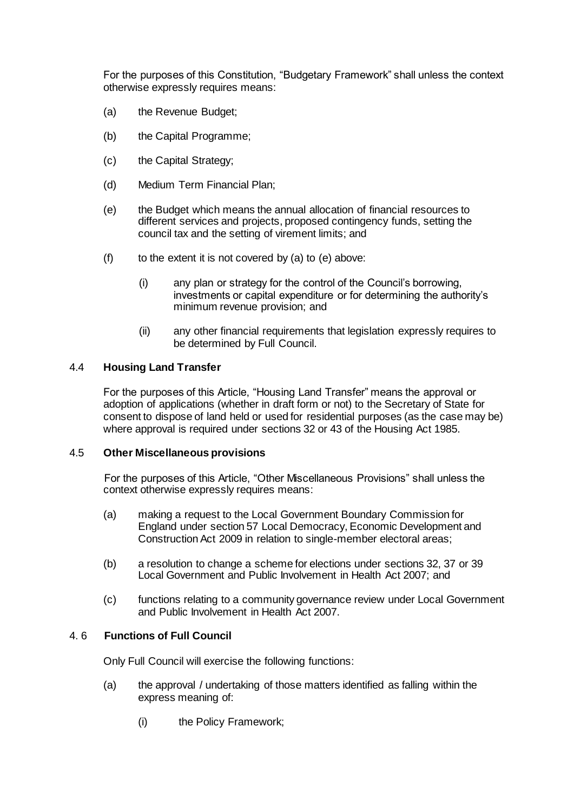For the purposes of this Constitution, "Budgetary Framework" shall unless the context otherwise expressly requires means:

- (a) the Revenue Budget;
- (b) the Capital Programme;
- (c) the Capital Strategy;
- (d) Medium Term Financial Plan;
- (e) the Budget which means the annual allocation of financial resources to different services and projects, proposed contingency funds, setting the council tax and the setting of virement limits; and
- (f) to the extent it is not covered by (a) to (e) above:
	- (i) any plan or strategy for the control of the Council's borrowing, investments or capital expenditure or for determining the authority's minimum revenue provision; and
	- (ii) any other financial requirements that legislation expressly requires to be determined by Full Council.

# 4.4 **Housing Land Transfer**

For the purposes of this Article, "Housing Land Transfer" means the approval or adoption of applications (whether in draft form or not) to the Secretary of State for consent to dispose of land held or used for residential purposes (as the case may be) where approval is required under sections 32 or 43 of the Housing Act 1985.

# 4.5 **Other Miscellaneous provisions**

For the purposes of this Article, "Other Miscellaneous Provisions" shall unless the context otherwise expressly requires means:

- (a) making a request to the Local Government Boundary Commission for England under section 57 Local Democracy, Economic Development and Construction Act 2009 in relation to single-member electoral areas;
- (b) a resolution to change a scheme for elections under sections 32, 37 or 39 Local Government and Public Involvement in Health Act 2007; and
- (c) functions relating to a community governance review under Local Government and Public Involvement in Health Act 2007.

# 4. 6 **Functions of Full Council**

Only Full Council will exercise the following functions:

- (a) the approval / undertaking of those matters identified as falling within the express meaning of:
	- (i) the Policy Framework;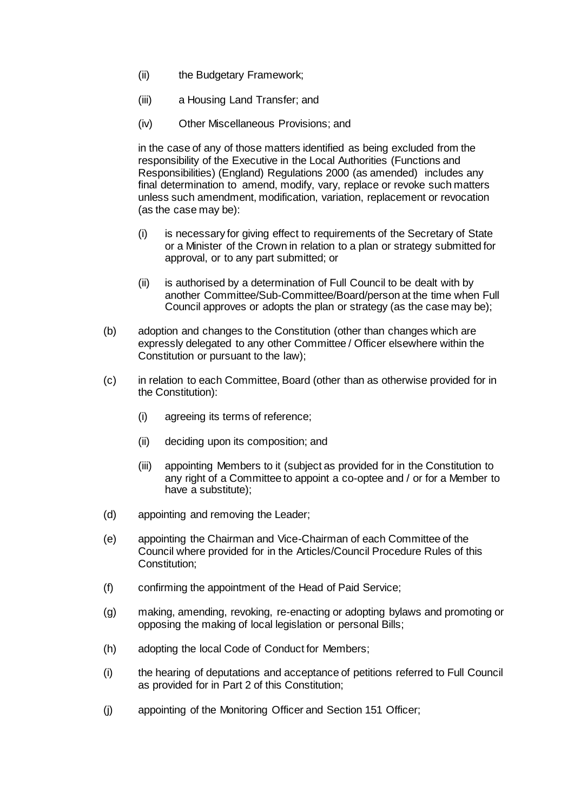- (ii) the Budgetary Framework;
- (iii) a Housing Land Transfer; and
- (iv) Other Miscellaneous Provisions; and

in the case of any of those matters identified as being excluded from the responsibility of the Executive in the Local Authorities (Functions and Responsibilities) (England) Regulations 2000 (as amended) includes any final determination to amend, modify, vary, replace or revoke such matters unless such amendment, modification, variation, replacement or revocation (as the case may be):

- (i) is necessary for giving effect to requirements of the Secretary of State or a Minister of the Crown in relation to a plan or strategy submitted for approval, or to any part submitted; or
- (ii) is authorised by a determination of Full Council to be dealt with by another Committee/Sub-Committee/Board/person at the time when Full Council approves or adopts the plan or strategy (as the case may be);
- (b) adoption and changes to the Constitution (other than changes which are expressly delegated to any other Committee / Officer elsewhere within the Constitution or pursuant to the law);
- (c) in relation to each Committee, Board (other than as otherwise provided for in the Constitution):
	- (i) agreeing its terms of reference;
	- (ii) deciding upon its composition; and
	- (iii) appointing Members to it (subject as provided for in the Constitution to any right of a Committee to appoint a co-optee and / or for a Member to have a substitute);
- (d) appointing and removing the Leader;
- (e) appointing the Chairman and Vice-Chairman of each Committee of the Council where provided for in the Articles/Council Procedure Rules of this Constitution;
- (f) confirming the appointment of the Head of Paid Service;
- (g) making, amending, revoking, re-enacting or adopting bylaws and promoting or opposing the making of local legislation or personal Bills;
- (h) adopting the local Code of Conduct for Members;
- (i) the hearing of deputations and acceptance of petitions referred to Full Council as provided for in Part 2 of this Constitution;
- (j) appointing of the Monitoring Officer and Section 151 Officer;